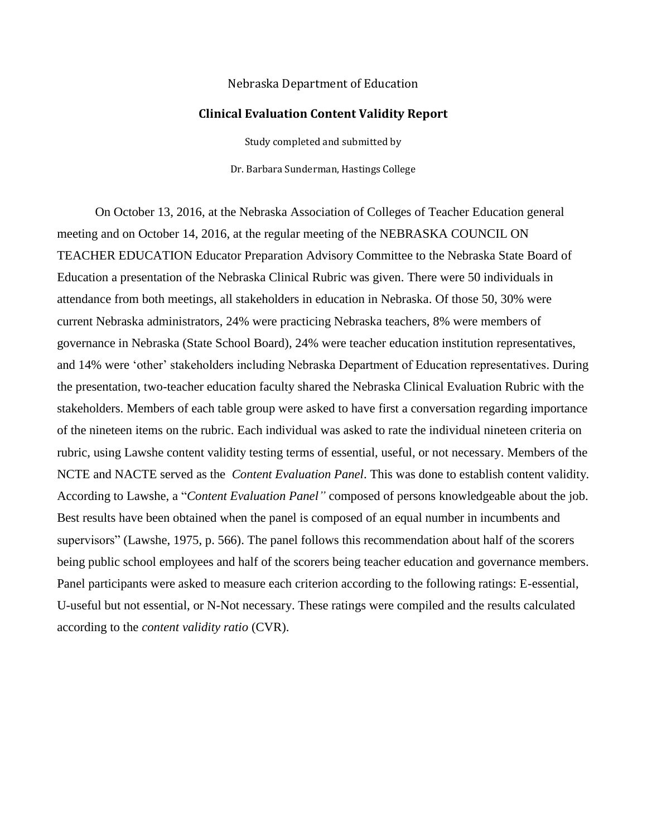## Nebraska Department of Education

## **Clinical Evaluation Content Validity Report**

Study completed and submitted by Dr. Barbara Sunderman, Hastings College

On October 13, 2016, at the Nebraska Association of Colleges of Teacher Education general meeting and on October 14, 2016, at the regular meeting of the NEBRASKA COUNCIL ON TEACHER EDUCATION Educator Preparation Advisory Committee to the Nebraska State Board of Education a presentation of the Nebraska Clinical Rubric was given. There were 50 individuals in attendance from both meetings, all stakeholders in education in Nebraska. Of those 50, 30% were current Nebraska administrators, 24% were practicing Nebraska teachers, 8% were members of governance in Nebraska (State School Board), 24% were teacher education institution representatives, and 14% were 'other' stakeholders including Nebraska Department of Education representatives. During the presentation, two-teacher education faculty shared the Nebraska Clinical Evaluation Rubric with the stakeholders. Members of each table group were asked to have first a conversation regarding importance of the nineteen items on the rubric. Each individual was asked to rate the individual nineteen criteria on rubric, using Lawshe content validity testing terms of essential, useful, or not necessary. Members of the NCTE and NACTE served as the *Content Evaluation Panel*. This was done to establish content validity. According to Lawshe, a "*Content Evaluation Panel"* composed of persons knowledgeable about the job. Best results have been obtained when the panel is composed of an equal number in incumbents and supervisors" (Lawshe, 1975, p. 566). The panel follows this recommendation about half of the scorers being public school employees and half of the scorers being teacher education and governance members. Panel participants were asked to measure each criterion according to the following ratings: E-essential, U-useful but not essential, or N-Not necessary. These ratings were compiled and the results calculated according to the *content validity ratio* (CVR).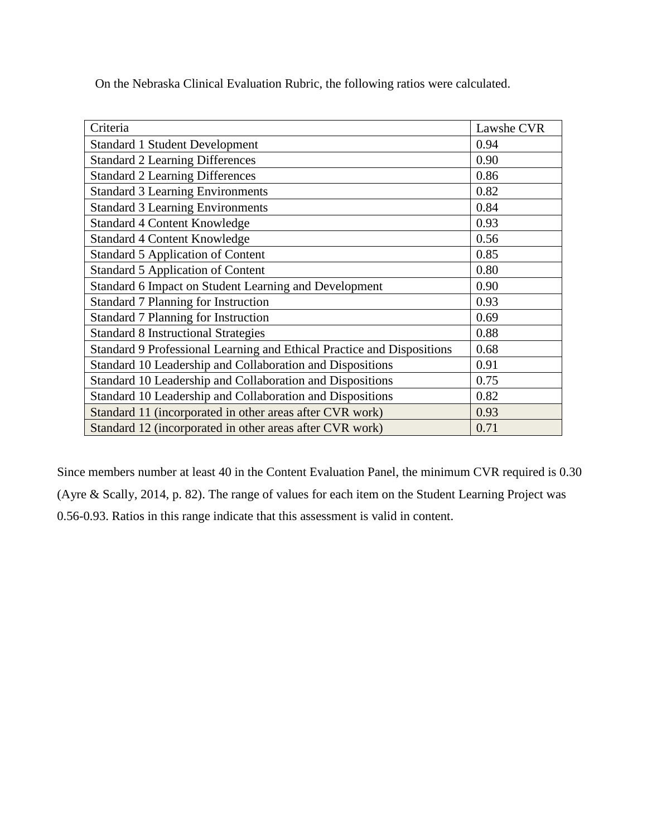On the Nebraska Clinical Evaluation Rubric, the following ratios were calculated.

| Criteria                                                               | Lawshe CVR |
|------------------------------------------------------------------------|------------|
| <b>Standard 1 Student Development</b>                                  | 0.94       |
| <b>Standard 2 Learning Differences</b>                                 | 0.90       |
| <b>Standard 2 Learning Differences</b>                                 | 0.86       |
| <b>Standard 3 Learning Environments</b>                                | 0.82       |
| <b>Standard 3 Learning Environments</b>                                | 0.84       |
| <b>Standard 4 Content Knowledge</b>                                    | 0.93       |
| <b>Standard 4 Content Knowledge</b>                                    | 0.56       |
| <b>Standard 5 Application of Content</b>                               | 0.85       |
| <b>Standard 5 Application of Content</b>                               | 0.80       |
| Standard 6 Impact on Student Learning and Development                  | 0.90       |
| <b>Standard 7 Planning for Instruction</b>                             | 0.93       |
| <b>Standard 7 Planning for Instruction</b>                             | 0.69       |
| <b>Standard 8 Instructional Strategies</b>                             | 0.88       |
| Standard 9 Professional Learning and Ethical Practice and Dispositions | 0.68       |
| Standard 10 Leadership and Collaboration and Dispositions              | 0.91       |
| Standard 10 Leadership and Collaboration and Dispositions              | 0.75       |
| Standard 10 Leadership and Collaboration and Dispositions              | 0.82       |
| Standard 11 (incorporated in other areas after CVR work)               | 0.93       |
| Standard 12 (incorporated in other areas after CVR work)               | 0.71       |

Since members number at least 40 in the Content Evaluation Panel, the minimum CVR required is 0.30 (Ayre & Scally, 2014, p. 82). The range of values for each item on the Student Learning Project was 0.56-0.93. Ratios in this range indicate that this assessment is valid in content.